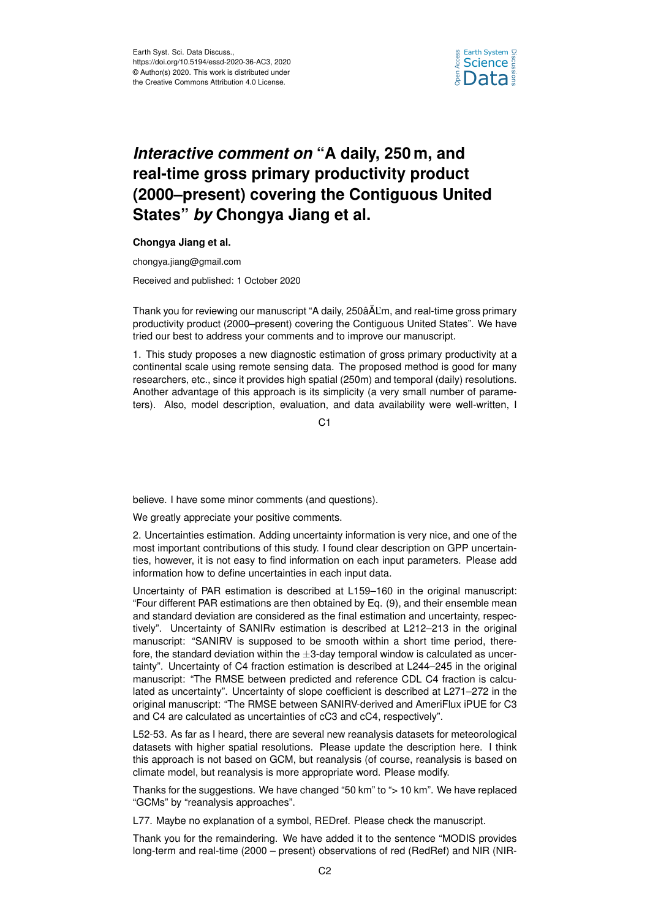

## *Interactive comment on* **"A daily, 250 m, and real-time gross primary productivity product (2000–present) covering the Contiguous United States"** *by* **Chongya Jiang et al.**

## **Chongya Jiang et al.**

chongya.jiang@gmail.com

Received and published: 1 October 2020

Thank you for reviewing our manuscript "A daily, 250âÄL'm, and real-time gross primary productivity product (2000–present) covering the Contiguous United States". We have tried our best to address your comments and to improve our manuscript.

1. This study proposes a new diagnostic estimation of gross primary productivity at a continental scale using remote sensing data. The proposed method is good for many researchers, etc., since it provides high spatial (250m) and temporal (daily) resolutions. Another advantage of this approach is its simplicity (a very small number of parameters). Also, model description, evaluation, and data availability were well-written, I

C<sub>1</sub>

believe. I have some minor comments (and questions).

We greatly appreciate your positive comments.

2. Uncertainties estimation. Adding uncertainty information is very nice, and one of the most important contributions of this study. I found clear description on GPP uncertainties, however, it is not easy to find information on each input parameters. Please add information how to define uncertainties in each input data.

Uncertainty of PAR estimation is described at L159–160 in the original manuscript: "Four different PAR estimations are then obtained by Eq. (9), and their ensemble mean and standard deviation are considered as the final estimation and uncertainty, respectively". Uncertainty of SANIRv estimation is described at L212–213 in the original manuscript: "SANIRV is supposed to be smooth within a short time period, therefore, the standard deviation within the  $\pm 3$ -day temporal window is calculated as uncertainty". Uncertainty of C4 fraction estimation is described at L244–245 in the original manuscript: "The RMSE between predicted and reference CDL C4 fraction is calculated as uncertainty". Uncertainty of slope coefficient is described at L271–272 in the original manuscript: "The RMSE between SANIRV-derived and AmeriFlux iPUE for C3 and C4 are calculated as uncertainties of cC3 and cC4, respectively".

L52-53. As far as I heard, there are several new reanalysis datasets for meteorological datasets with higher spatial resolutions. Please update the description here. I think this approach is not based on GCM, but reanalysis (of course, reanalysis is based on climate model, but reanalysis is more appropriate word. Please modify.

Thanks for the suggestions. We have changed "50 km" to "> 10 km". We have replaced "GCMs" by "reanalysis approaches".

L77. Maybe no explanation of a symbol, REDref. Please check the manuscript.

Thank you for the remaindering. We have added it to the sentence "MODIS provides long-term and real-time (2000 – present) observations of red (RedRef) and NIR (NIR-